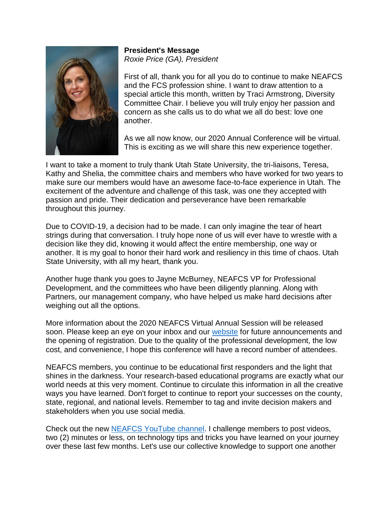

**President's Message** *Roxie Price (GA), President*

First of all, thank you for all you do to continue to make NEAFCS and the FCS profession shine. I want to draw attention to a special article this month, written by Traci Armstrong, Diversity Committee Chair. I believe you will truly enjoy her passion and concern as she calls us to do what we all do best: love one another.

As we all now know, our 2020 Annual Conference will be virtual. This is exciting as we will share this new experience together.

I want to take a moment to truly thank Utah State University, the tri-liaisons, Teresa, Kathy and Shelia, the committee chairs and members who have worked for two years to make sure our members would have an awesome face-to-face experience in Utah. The excitement of the adventure and challenge of this task, was one they accepted with passion and pride. Their dedication and perseverance have been remarkable throughout this journey.

Due to COVID-19, a decision had to be made. I can only imagine the tear of heart strings during that conversation. I truly hope none of us will ever have to wrestle with a decision like they did, knowing it would affect the entire membership, one way or another. It is my goal to honor their hard work and resiliency in this time of chaos. Utah State University, with all my heart, thank you.

Another huge thank you goes to Jayne McBurney, NEAFCS VP for Professional Development, and the committees who have been diligently planning. Along with Partners, our management company, who have helped us make hard decisions after weighing out all the options.

More information about the 2020 NEAFCS Virtual Annual Session will be released soon. Please keep an eye on your inbox and our [website](http://www.neafcs.org/) for future announcements and the opening of registration. Due to the quality of the professional development, the low cost, and convenience, I hope this conference will have a record number of attendees.

NEAFCS members, you continue to be educational first responders and the light that shines in the darkness. Your research-based educational programs are exactly what our world needs at this very moment. Continue to circulate this information in all the creative ways you have learned. Don't forget to continue to report your successes on the county, state, regional, and national levels. Remember to tag and invite decision makers and stakeholders when you use social media.

Check out the new [NEAFCS YouTube channel.](https://www.youtube.com/channel/UCtavmhb6PYODHYvSrU-nKcg) I challenge members to post videos, two (2) minutes or less, on technology tips and tricks you have learned on your journey over these last few months. Let's use our collective knowledge to support one another